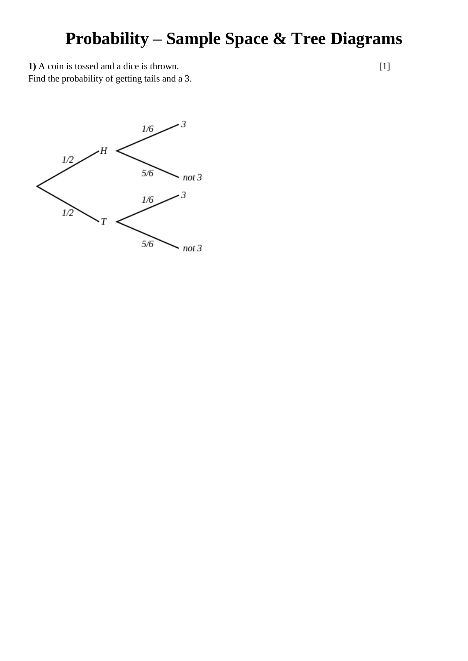## **Probability – Sample Space & Tree Diagrams**

**1)** A coin is tossed and a dice is thrown.

Find the probability of getting tails and a 3.



[1]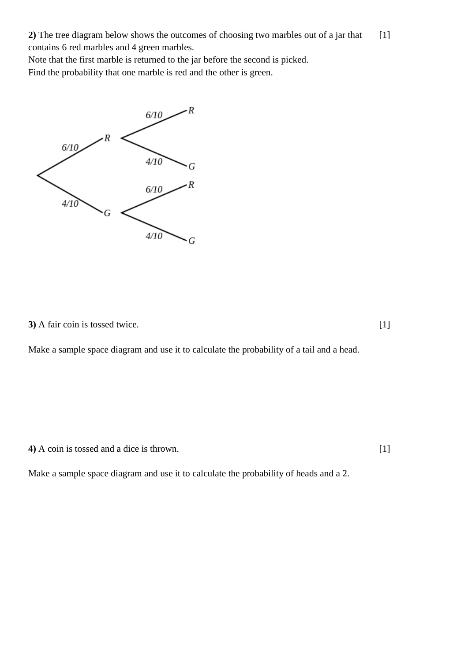**2)** The tree diagram below shows the outcomes of choosing two marbles out of a jar that contains 6 red marbles and 4 green marbles. [1]

Note that the first marble is returned to the jar before the second is picked.

Find the probability that one marble is red and the other is green.



**3)** A fair coin is tossed twice.

Make a sample space diagram and use it to calculate the probability of a tail and a head.

**4)** A coin is tossed and a dice is thrown.

[1]

[1]

Make a sample space diagram and use it to calculate the probability of heads and a 2.